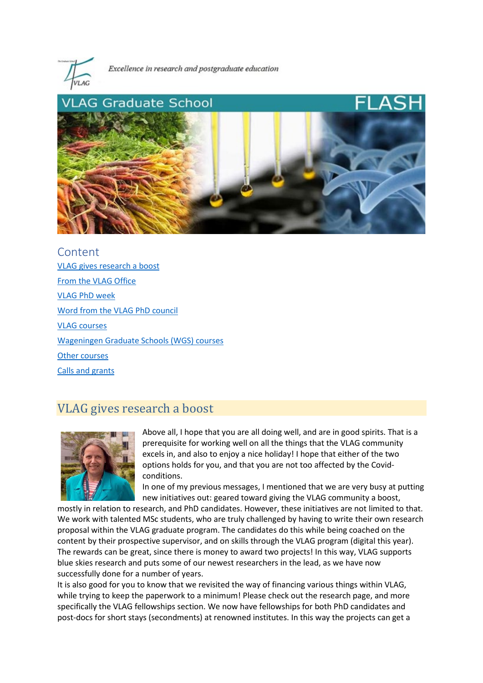

Excellence in research and postgraduate education



Content [VLAG gives research a boost](#page-0-0) [From the VLAG Office](#page-1-0) [VLAG PhD week](#page-1-1) [Word from the VLAG PhD council](#page-2-0) [VLAG courses](#page-2-1) [Wageningen Graduate Schools \(WGS\) courses](#page-3-0) [Other courses](#page-3-1) [Calls and grants](#page-3-2)

## <span id="page-0-0"></span>VLAG gives research a boost



Above all, I hope that you are all doing well, and are in good spirits. That is a prerequisite for working well on all the things that the VLAG community excels in, and also to enjoy a nice holiday! I hope that either of the two options holds for you, and that you are not too affected by the Covidconditions.

In one of my previous messages, I mentioned that we are very busy at putting new initiatives out: geared toward giving the VLAG community a boost,

mostly in relation to research, and PhD candidates. However, these initiatives are not limited to that. We work with talented MSc students, who are truly challenged by having to write their own research proposal within the VLAG graduate program. The candidates do this while being coached on the content by their prospective supervisor, and on skills through the VLAG program (digital this year). The rewards can be great, since there is money to award two projects! In this way, VLAG supports blue skies research and puts some of our newest researchers in the lead, as we have now successfully done for a number of years.

It is also good for you to know that we revisited the way of financing various things within VLAG, while trying to keep the paperwork to a minimum! Please check out the research page, and more specifically the VLAG fellowships section. We now have fellowships for both PhD candidates and post-docs for short stays (secondments) at renowned institutes. In this way the projects can get a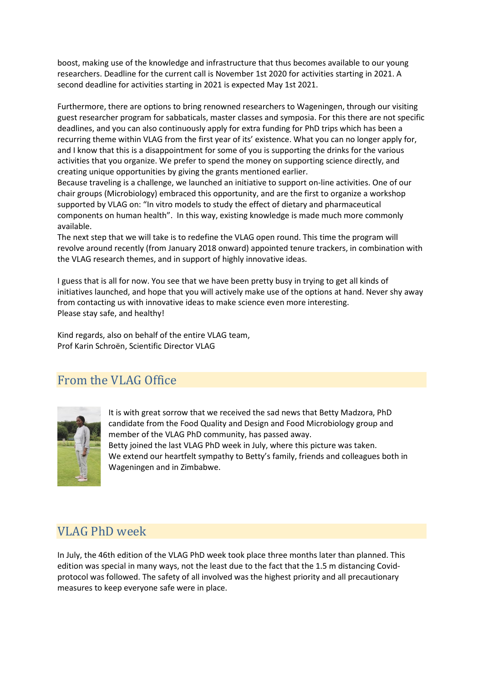boost, making use of the knowledge and infrastructure that thus becomes available to our young researchers. Deadline for the current call is November 1st 2020 for activities starting in 2021. A second deadline for activities starting in 2021 is expected May 1st 2021.

Furthermore, there are options to bring renowned researchers to Wageningen, through our visiting guest researcher program for sabbaticals, master classes and symposia. For this there are not specific deadlines, and you can also continuously apply for extra funding for PhD trips which has been a recurring theme within VLAG from the first year of its' existence. What you can no longer apply for, and I know that this is a disappointment for some of you is supporting the drinks for the various activities that you organize. We prefer to spend the money on supporting science directly, and creating unique opportunities by giving the grants mentioned earlier.

Because traveling is a challenge, we launched an initiative to support on-line activities. One of our chair groups (Microbiology) embraced this opportunity, and are the first to organize a workshop supported by VLAG on: "In vitro models to study the effect of dietary and pharmaceutical components on human health". In this way, existing knowledge is made much more commonly available.

The next step that we will take is to redefine the VLAG open round. This time the program will revolve around recently (from January 2018 onward) appointed tenure trackers, in combination with the VLAG research themes, and in support of highly innovative ideas.

I guess that is all for now. You see that we have been pretty busy in trying to get all kinds of initiatives launched, and hope that you will actively make use of the options at hand. Never shy away from contacting us with innovative ideas to make science even more interesting. Please stay safe, and healthy!

Kind regards, also on behalf of the entire VLAG team, Prof Karin Schroën, Scientific Director VLAG

# <span id="page-1-0"></span>From the VLAG Office



It is with great sorrow that we received the sad news that Betty Madzora, PhD candidate from the Food Quality and Design and Food Microbiology group and member of the VLAG PhD community, has passed away. Betty joined the last VLAG PhD week in July, where this picture was taken. We extend our heartfelt sympathy to Betty's family, friends and colleagues both in Wageningen and in Zimbabwe.

# <span id="page-1-1"></span>VLAG PhD week

In July, the 46th edition of the VLAG PhD week took place three months later than planned. This edition was special in many ways, not the least due to the fact that the 1.5 m distancing Covidprotocol was followed. The safety of all involved was the highest priority and all precautionary measures to keep everyone safe were in place.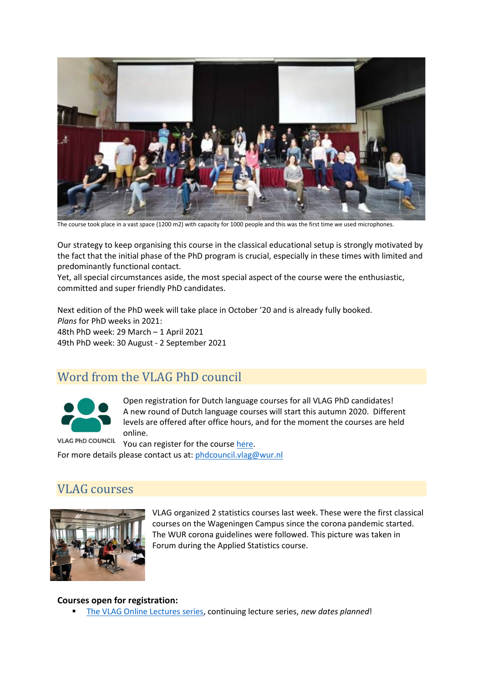

The course took place in a vast space (1200 m2) with capacity for 1000 people and this was the first time we used microphones.

Our strategy to keep organising this course in the classical educational setup is strongly motivated by the fact that the initial phase of the PhD program is crucial, especially in these times with limited and predominantly functional contact.

Yet, all special circumstances aside, the most special aspect of the course were the enthusiastic, committed and super friendly PhD candidates.

Next edition of the PhD week will take place in October '20 and is already fully booked. *Plans* for PhD weeks in 2021: 48th PhD week: 29 March – 1 April 2021 49th PhD week: 30 August - 2 September 2021

## <span id="page-2-0"></span>Word from the VLAG PhD council



Open registration for Dutch language courses for all VLAG PhD candidates! A new round of Dutch language courses will start this autumn 2020. Different levels are offered after office hours, and for the moment the courses are held online.

**VLAG PhD COUNCIL** You can register for the cours[e here.](https://docs.google.com/forms/d/e/1FAIpQLSdRRkOwK4YDMZOa8pZx51LH4Ei6DhX059q2msXCDm8yjy9rjA/viewform) For more details please contact us at[: phdcouncil.vlag@wur.nl](mailto:phdcouncil.vlag@wur.nl)

## <span id="page-2-1"></span>VLAG courses



VLAG organized 2 statistics courses last week. These were the first classical courses on the Wageningen Campus since the corona pandemic started. The WUR corona guidelines were followed. This picture was taken in Forum during the Applied Statistics course.

#### **Courses open for registration:**

[The VLAG Online Lectures series,](https://www.vlaggraduateschool.nl/en/courses/course/Online-Lecture-Series-1.htm) continuing lecture series, *new dates planned*!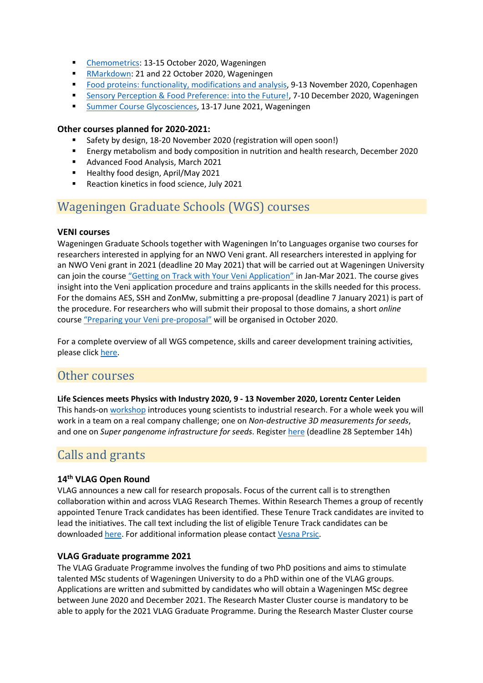- [Chemometrics:](https://vlag.crs.wur.nl/courses/details/298/) 13-15 October 2020, Wageningen
- [RMarkdown:](https://www.vlaggraduateschool.nl/en/courses/General-courses/VLAG-general-courses/RMarkdown.htm) 21 and 22 October 2020, Wageningen
- [Food proteins: functionality, modifications and analysis,](https://www.vlaggraduateschool.nl/en/courses/course/Food-Proteins-2020.htm) 9-13 November 2020, Copenhagen
- [Sensory Perception & Food Preference: into the Future!,](https://www.vlaggraduateschool.nl/en/courses/course/SENS20.htm) 7-10 December 2020, Wageningen
- **[Summer Course Glycosciences,](https://www.vlaggraduateschool.nl/en/courses/course/Glycosciences21.htm) 13-17 June 2021, Wageningen**

#### **Other courses planned for 2020-2021:**

- Safety by design, 18-20 November 2020 (registration will open soon!)
- Energy metabolism and body composition in nutrition and health research, December 2020
- **Advanced Food Analysis, March 2021**
- **Healthy food design, April/May 2021**
- Reaction kinetics in food science, July 2021

# <span id="page-3-0"></span>Wageningen Graduate Schools (WGS) courses

#### **VENI courses**

Wageningen Graduate Schools together with Wageningen In'to Languages organise two courses for researchers interested in applying for an NWO Veni grant. All researchers interested in applying for an NWO Veni grant in 2021 (deadline 20 May 2021) that will be carried out at Wageningen University can join the course ["Getting on Track with Your Veni Application"](https://wgs.crs.wur.nl/courses/details/113/) in Jan-Mar 2021. The course gives insight into the Veni application procedure and trains applicants in the skills needed for this process. For the domains AES, SSH and ZonMw, submitting a pre-proposal (deadline 7 January 2021) is part of the procedure. For researchers who will submit their proposal to those domains, a short *online* course ["Preparing your Veni pre-proposal"](https://wgs.crs.wur.nl/courses/details/314/) will be organised in October 2020.

For a complete overview of all WGS competence, skills and career development training activities, please click [here.](https://wgs.crs.wur.nl/)

## <span id="page-3-1"></span>Other courses

**Life Sciences meets Physics with Industry 2020, 9 - 13 November 2020, Lorentz Center Leiden** This hands-o[n workshop](https://www.lorentzcenter.nl/life-sciences-with-industry-2020.html) introduces young scientists to industrial research. For a whole week you will work in a team on a real company challenge; one on *Non-destructive 3D measurements for seeds*, and one on *Super pangenome infrastructure for seeds*. Register [here](https://www.lorentzcenter.nl/site/index.php?conFormulierId=438&pntType=ConStap&id=691&pntHandler=Page) (deadline 28 September 14h)

# <span id="page-3-2"></span>Calls and grants

### **14th VLAG Open Round**

VLAG announces a new call for research proposals. Focus of the current call is to strengthen collaboration within and across VLAG Research Themes. Within Research Themes a group of recently appointed Tenure Track candidates has been identified. These Tenure Track candidates are invited to lead the initiatives. The call text including the list of eligible Tenure Track candidates can be downloaded [here.](https://www.vlaggraduateschool.nl/en/research-1/VLAG-Calls.htm) For additional information please contac[t Vesna Prsic.](mailto:vesna.prsic@wur.nl)

### **VLAG Graduate programme 2021**

The VLAG Graduate Programme involves the funding of two PhD positions and aims to stimulate talented MSc students of Wageningen University to do a PhD within one of the VLAG groups. Applications are written and submitted by candidates who will obtain a Wageningen MSc degree between June 2020 and December 2021. The Research Master Cluster course is mandatory to be able to apply for the 2021 VLAG Graduate Programme. During the Research Master Cluster course